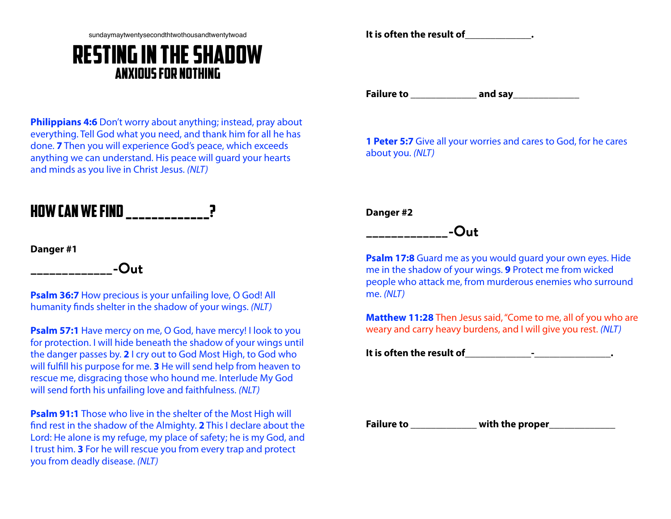sundaymaytwentysecondthtwothousandtwentytwoad

## Resting In The Shadow Anxious For Nothing

**Philippians 4:6** Don't worry about anything; instead, pray about everything. Tell God what you need, and thank him for all he has done. **7** Then you will experience God's peace, which exceeds anything we can understand. His peace will guard your hearts and minds as you live in Christ Jesus. *(NLT)*

## How can we find \_\_\_\_\_\_\_\_\_\_\_\_\_?

**\_\_\_\_\_\_\_\_\_\_\_\_\_-Out**

**Danger #1**

**Psalm 36:7** How precious is your unfailing love, O God! All humanity finds shelter in the shadow of your wings. *(NLT)*

**Psalm 57:1** Have mercy on me, O God, have mercy! I look to you for protection. I will hide beneath the shadow of your wings until the danger passes by. **2** I cry out to God Most High, to God who will fulfill his purpose for me. **3** He will send help from heaven to rescue me, disgracing those who hound me. Interlude My God will send forth his unfailing love and faithfulness. *(NLT)*

**Psalm 91:1** Those who live in the shelter of the Most High will find rest in the shadow of the Almighty. **2** This I declare about the Lord: He alone is my refuge, my place of safety; he is my God, and I trust him. **3** For he will rescue you from every trap and protect you from deadly disease. *(NLT)*

**It is often the result of\_\_\_\_\_\_\_\_\_\_\_\_\_.**

**Failure to \_\_\_\_\_\_\_\_\_\_\_\_\_ and say\_\_\_\_\_\_\_\_\_\_\_\_\_**

**1 Peter 5:7** Give all your worries and cares to God, for he cares about you. *(NLT)*

**Danger #2**

## **\_\_\_\_\_\_\_\_\_\_\_\_\_-Out**

**Psalm 17:8** Guard me as you would guard your own eyes. Hide me in the shadow of your wings. **9** Protect me from wicked people who attack me, from murderous enemies who surround me. *(NLT)*

**Matthew 11:28** Then Jesus said, "Come to me, all of you who are weary and carry heavy burdens, and I will give you rest. *(NLT)*

**It is often the result of\_\_\_\_\_\_\_\_\_\_\_\_\_-\_\_\_\_\_\_\_\_\_\_\_\_\_\_\_.**

**Failure to \_\_\_\_\_\_\_\_\_\_\_\_\_ with the proper\_\_\_\_\_\_\_\_\_\_\_\_\_**